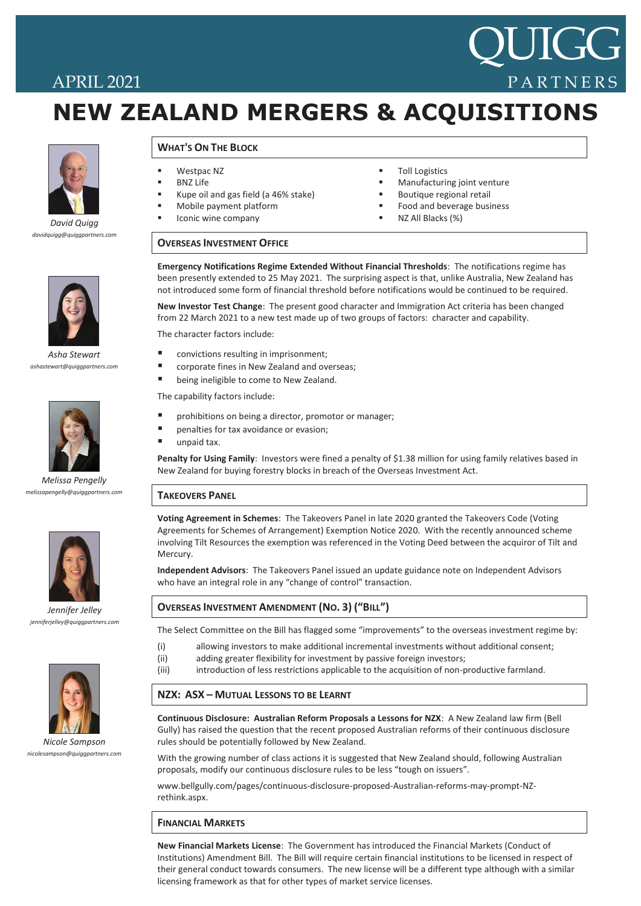# APRIL 2021

# **NEW ZEALAND MERGERS & ACQUISITIONS NEW ZEALAND MERGERS & ACQUISITIONS**



*David Quigg David Quigg davidquigg@quiggpartners.com davidquigg@quiggpartners.com*



*Asha Stewart ashastewart@quiggpartners.com*



*Melissa Pengelly melissapengelly@quiggpartners.com*



*Jennifer Jelley jenniferjelley@quiggpartners.com*



*Adam Wood Nicole Sampson adamwood@quiggpartners.com nicolesampson@quiggpartners.com*

# **WHAT'S ON THE BLOCK WHAT'S ON THE BLOCK**

- $\blacksquare$  Westpac NZ
	- **BNZ Life**
- Kupe oil and gas field (a 46% stake)
- Mobile payment platform
- $\blacksquare$  Iconic wine company Importer and Wholesaler
- $\blacksquare$  Toll Logistics
- Manufacturing joint venture

QUIGG

PARTNERS

- Boutique regional retail
- Food and beverage business
- NZ All Blacks (%)

#### **QUIGG PARTNERS SEMINARS – MELBOURNE – 22 AUGUST 2013 OVERSEAS INVESTMENT OFFICE**

been presently extended to 25 May 2021. The surprising aspect is that, unlike Australia, New Zealand has *Legal Issues for Businesses in New Zealand* not introduced some form of financial threshold before notifications would be continued to be required. **Emergency Notifications Regime Extended Without Financial Thresholds**: The notifications regime has

New Investor Test Change: The present good character and Immigration Act criteria has been changed from 22 March 2021 to a new test made up of two groups of factors: character and capability.  $A = \frac{1}{2}$  business (including financial reporting and brand protection) and brand protection  $\mathcal{A}$ 

The character factors include:

- convictions resulting in imprisonment;
- corporate fines in New Zealand and overseas;
- *Managing your New Zealand Business: Employment and Labour Issues* **■** being ineligible to come to New Zealand.

The capability factors include:

- Restructuring from Australia ■ prohibitions on being a director, promotor or manager;
- penalties for tax avoidance or evasion;
- unpaid tax.

Penalty for Using Family: Investors were fined a penalty of \$1.38 million for using family relatives based in New Zealand for buying forestry blocks in breach of the Overseas Investment Act.

#### **TAKEOVERS PANEL** InterContinental Melbourne The Rialto

**Voting Agreement in Schemes**: The Takeovers Panel in late 2020 granted the Takeovers Code (Voting involving Tilt Resources the exemption was referenced in the Voting Deed between the acquiror of Tilt and<br>... Agreements for Schemes of Arrangement) Exemption Notice 2020. With the recently announced scheme Mercury.

Independent Advisors: The Takeovers Panel issued an update guidance note on Independent Advisors who have an integral role in any "change of control" transaction. process. The latest change to the Bill shortens the period the changes will become enforceable from 12

## **OVERSEAS INVESTMENT AMENDMENT (NO. 3) ("BILL")**

**OVERSEAS INVESTMENT ACT – NEW TIMING GUIDANCE PROVIDED** The Select Committee on the Bill has flagged some "improvements" to the overseas investment regime by:

- (i) allowing investors to make additional incremental investments without additional consent;
- (ii) adding greater flexibility for investment by passive foreign investors;
- (iii) introduction of less restrictions applicable to the acquisition of non-productive farmland.

# **REGISTRATION <b>CONSTRANGEM CONSTRANT**

The Companies Office now requires additional documentation for verifying the identity of overseas directors of overseas directors of overseas directors of overseas directors of overseas directors of overseas directors of **Continuous Disclosure: Australian Reform Proposals a Lessons for NZX**: A New Zealand law firm (Bell<br>
Continuous Disclosure: Australian Reform Proposals a Lessons for NZX: A New Zealand law firm (Bell Gully) has raised the question that the recent proposed Australian reforms of their continuous disclosure rules should be potentially followed by New Zealand.

proposals, modify our continuous disclosure rules to be less "tough on issuers". With the growing number of class actions it is suggested that New Zealand should, following Australian

The Committee report on the Financial Report on the Financial Report of changes to assist to assist to assist the Financial Report of changes to assist the Financial Report of changes to assist the changes of changes to as www.bellgully.com/pages/continuous-disclosure-proposed-Australian-reforms-may-prompt-NZ-

### **FINANCIAL MARKETS**

New Financial Markets License: The Government has introduced the Financial Markets (Conduct of Institutions) Amendment Bill. The Bill will require certain financial institutions to be licensed in respect of their general conduct towards consumers. The new license will be a different type although with a similar licensing framework as that for other types of market service licenses.

overseas companies, who are not "FMC reporting entities" to satisfy financial reporting requirements. FMC

and other financial market participants. A Securities Act Exemption Notice has been passed to permit, in the